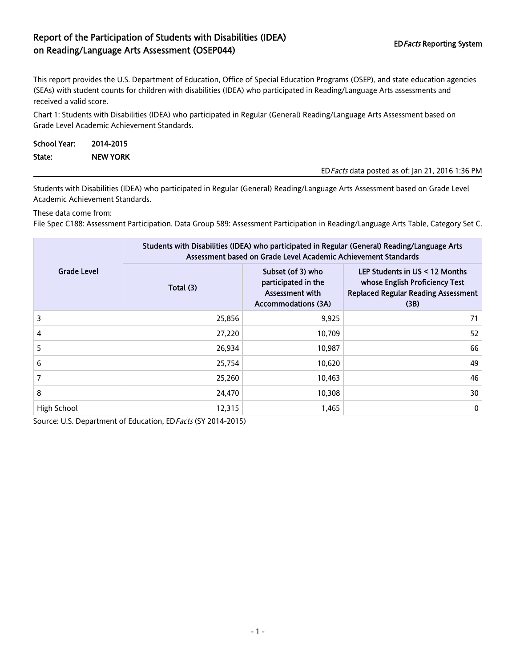## Report of the Participation of Students with Disabilities (IDEA) EDFacts Reporting System<br>
on Reading/Language Arts Assessment (OSEP044)

This report provides the U.S. Department of Education, Office of Special Education Programs (OSEP), and state education agencies (SEAs) with student counts for children with disabilities (IDEA) who participated in Reading/Language Arts assessments and received a valid score.

Chart 1: Students with Disabilities (IDEA) who participated in Regular (General) Reading/Language Arts Assessment based on Grade Level Academic Achievement Standards.

| <b>School Year:</b> | 2014-2015       |                                                  |
|---------------------|-----------------|--------------------------------------------------|
| State:              | <b>NEW YORK</b> |                                                  |
|                     |                 | ED Facts data posted as of: Jan 21, 2016 1:36 PM |

Students with Disabilities (IDEA) who participated in Regular (General) Reading/Language Arts Assessment based on Grade Level Academic Achievement Standards.

These data come from:

File Spec C188: Assessment Participation, Data Group 589: Assessment Participation in Reading/Language Arts Table, Category Set C.

|                    | Students with Disabilities (IDEA) who participated in Regular (General) Reading/Language Arts<br>Assessment based on Grade Level Academic Achievement Standards |                                                                                           |                                                                                                                        |  |  |
|--------------------|-----------------------------------------------------------------------------------------------------------------------------------------------------------------|-------------------------------------------------------------------------------------------|------------------------------------------------------------------------------------------------------------------------|--|--|
| <b>Grade Level</b> | Total (3)                                                                                                                                                       | Subset (of 3) who<br>participated in the<br>Assessment with<br><b>Accommodations (3A)</b> | LEP Students in US < 12 Months<br>whose English Proficiency Test<br><b>Replaced Regular Reading Assessment</b><br>(3B) |  |  |
| 3                  | 25,856                                                                                                                                                          | 9,925                                                                                     | 71                                                                                                                     |  |  |
| 4                  | 27,220                                                                                                                                                          | 10.709                                                                                    | 52                                                                                                                     |  |  |
| 5                  | 26,934                                                                                                                                                          | 10,987                                                                                    | 66                                                                                                                     |  |  |
| 6                  | 25,754                                                                                                                                                          | 10,620                                                                                    | 49                                                                                                                     |  |  |
| 7                  | 25,260                                                                                                                                                          | 10,463                                                                                    | 46                                                                                                                     |  |  |
| 8                  | 24,470                                                                                                                                                          | 10.308                                                                                    | 30                                                                                                                     |  |  |
| High School        | 12,315                                                                                                                                                          | 1,465                                                                                     | $\mathbf 0$                                                                                                            |  |  |

Source: U.S. Department of Education, ED Facts (SY 2014-2015)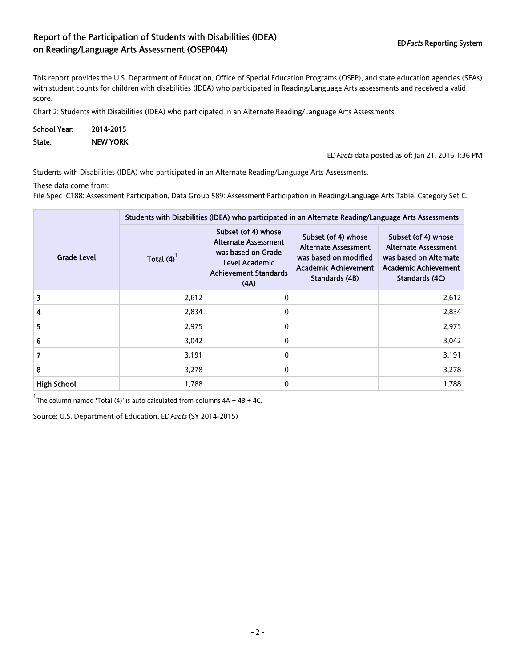## Report of the Participation of Students with Disabilities (IDEA) EDFacts Reporting System on Reading/Language Arts Assessment (OSEP044)

This report provides the U.S. Department of Education, Office of Special Education Programs (OSEP), and state education agencies (SEAs) with student counts for children with disabilities (IDEA) who participated in Reading/Language Arts assessments and received a valid score.

Chart 2: Students with Disabilities (IDEA) who participated in an Alternate Reading/Language Arts Assessments.

| <b>School Year:</b> | 2014-2015       |                                                  |
|---------------------|-----------------|--------------------------------------------------|
| State:              | <b>NEW YORK</b> |                                                  |
|                     |                 | ED Facts data posted as of: Jan 21, 2016 1:36 PM |

Students with Disabilities (IDEA) who participated in an Alternate Reading/Language Arts Assessments.

These data come from:

File Spec C188: Assessment Participation, Data Group 589: Assessment Participation in Reading/Language Arts Table, Category Set C.

|                    | Students with Disabilities (IDEA) who participated in an Alternate Reading/Language Arts Assessments |                                                                                                                                    |                                                                                                                              |                                                                                                                               |  |  |
|--------------------|------------------------------------------------------------------------------------------------------|------------------------------------------------------------------------------------------------------------------------------------|------------------------------------------------------------------------------------------------------------------------------|-------------------------------------------------------------------------------------------------------------------------------|--|--|
| <b>Grade Level</b> | Total (4)                                                                                            | Subset (of 4) whose<br><b>Alternate Assessment</b><br>was based on Grade<br>Level Academic<br><b>Achievement Standards</b><br>(AA) | Subset (of 4) whose<br><b>Alternate Assessment</b><br>was based on modified<br><b>Academic Achievement</b><br>Standards (4B) | Subset (of 4) whose<br><b>Alternate Assessment</b><br>was based on Alternate<br><b>Academic Achievement</b><br>Standards (4C) |  |  |
| 3                  | 2,612                                                                                                | 0                                                                                                                                  |                                                                                                                              | 2,612                                                                                                                         |  |  |
| 4                  | 2,834                                                                                                | 0                                                                                                                                  |                                                                                                                              | 2,834                                                                                                                         |  |  |
| 5.                 | 2,975                                                                                                | 0                                                                                                                                  |                                                                                                                              | 2,975                                                                                                                         |  |  |
| 6                  | 3,042                                                                                                | 0                                                                                                                                  |                                                                                                                              | 3,042                                                                                                                         |  |  |
| 7                  | 3,191                                                                                                | 0                                                                                                                                  |                                                                                                                              | 3,191                                                                                                                         |  |  |
| 8                  | 3,278                                                                                                | 0                                                                                                                                  |                                                                                                                              | 3,278                                                                                                                         |  |  |
| <b>High School</b> | 1,788                                                                                                | 0                                                                                                                                  |                                                                                                                              | 1,788                                                                                                                         |  |  |

 $1$ The column named 'Total (4)' is auto calculated from columns  $4A + 4B + 4C$ .

Source: U.S. Department of Education, ED Facts (SY 2014-2015)